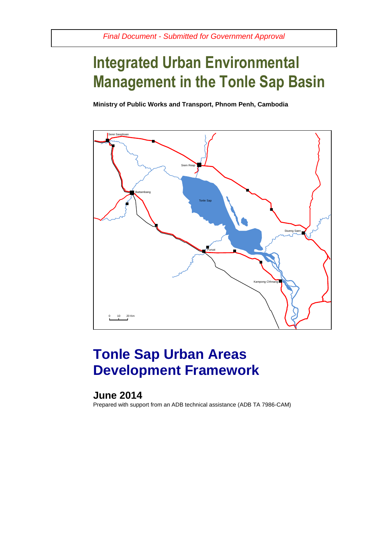# **Integrated Urban Environmental Management in the Tonle Sap Basin**

**Ministry of Public Works and Transport, Phnom Penh, Cambodia**



# **Tonle Sap Urban Areas Development Framework**

## **June 2014**

Prepared with support from an ADB technical assistance (ADB TA 7986-CAM)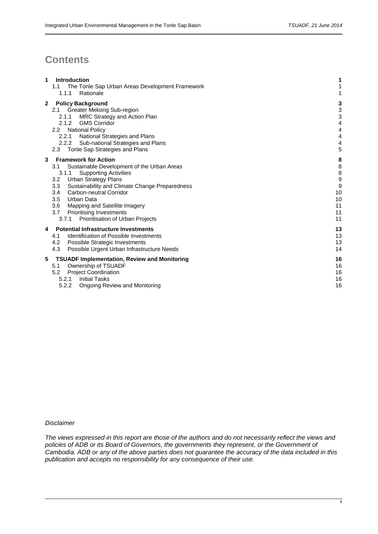## **Contents**

| 1            | Introduction<br>The Tonle Sap Urban Areas Development Framework<br>1.1<br>Rationale<br>1.1.1                                                                                                                                                                                                                                                                                                                          | 1<br>1                                              |
|--------------|-----------------------------------------------------------------------------------------------------------------------------------------------------------------------------------------------------------------------------------------------------------------------------------------------------------------------------------------------------------------------------------------------------------------------|-----------------------------------------------------|
| $\mathbf{2}$ | <b>Policy Background</b><br>Greater Mekong Sub-region<br>2.1<br>MRC Strategy and Action Plan<br>2.1.1<br>2.1.2 GMS Corridor<br>2.2<br><b>National Policy</b><br>National Strategies and Plans<br>2.2.1<br>Sub-national Strategies and Plans<br>2.2.2<br>Tonle Sap Strategies and Plans<br>2.3                                                                                                                         | 3<br>3<br>3<br>4<br>4<br>4<br>4<br>5                |
| 3            | <b>Framework for Action</b><br>3.1<br>Sustainable Development of the Urban Areas<br>3.1.1<br><b>Supporting Activities</b><br><b>Urban Strategy Plans</b><br>3.2<br>3.3<br>Sustainability and Climate Change Preparedness<br>Carbon-neutral Corridor<br>3.4<br>3.5<br>Urban Data<br>3.6<br>Mapping and Satellite Imagery<br>3.7<br><b>Prioritising Investments</b><br>3.7.1<br><b>Prioritisation of Urban Projects</b> | 8<br>8<br>8<br>9<br>9<br>10<br>10<br>11<br>11<br>11 |
| 4            | <b>Potential Infrastructure Investments</b><br>Identification of Possible Investments<br>4.1<br>Possible Strategic Investments<br>4.2<br>4.3<br>Possible Urgent Urban Infrastructure Needs                                                                                                                                                                                                                            | 13<br>13<br>13<br>14                                |
| 5            | <b>TSUADF Implementation, Review and Monitoring</b><br>Ownership of TSUADF<br>5.1<br><b>Project Coordination</b><br>5.2<br><b>Initial Tasks</b><br>5.2.1<br>5.2.2<br><b>Ongoing Review and Monitoring</b>                                                                                                                                                                                                             | 16<br>16<br>16<br>16<br>16                          |

*Disclaimer*

*The views expressed in this report are those of the authors and do not necessarily reflect the views and policies of ADB or its Board of Governors, the governments they represent, or the Government of Cambodia. ADB or any of the above parties does not guarantee the accuracy of the data included in this publication and accepts no responsibility for any consequence of their use.*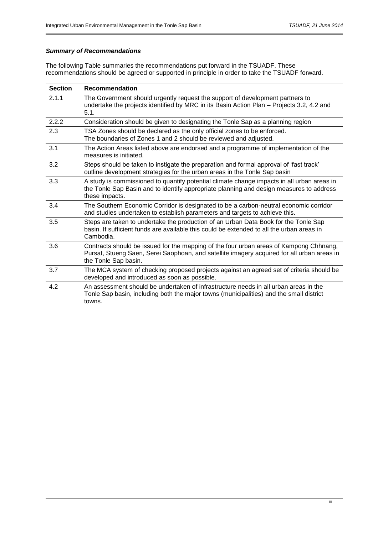## *Summary of Recommendations*

The following Table summaries the recommendations put forward in the TSUADF. These recommendations should be agreed or supported in principle in order to take the TSUADF forward.

| <b>Section</b> | <b>Recommendation</b>                                                                                                                                                                                        |
|----------------|--------------------------------------------------------------------------------------------------------------------------------------------------------------------------------------------------------------|
| 2.1.1          | The Government should urgently request the support of development partners to<br>undertake the projects identified by MRC in its Basin Action Plan – Projects 3.2, 4.2 and<br>5.1.                           |
| 2.2.2          | Consideration should be given to designating the Tonle Sap as a planning region                                                                                                                              |
| 2.3            | TSA Zones should be declared as the only official zones to be enforced.<br>The boundaries of Zones 1 and 2 should be reviewed and adjusted.                                                                  |
| 3.1            | The Action Areas listed above are endorsed and a programme of implementation of the<br>measures is initiated.                                                                                                |
| 3.2            | Steps should be taken to instigate the preparation and formal approval of 'fast track'<br>outline development strategies for the urban areas in the Tonle Sap basin                                          |
| 3.3            | A study is commissioned to quantify potential climate change impacts in all urban areas in<br>the Tonle Sap Basin and to identify appropriate planning and design measures to address<br>these impacts.      |
| 3.4            | The Southern Economic Corridor is designated to be a carbon-neutral economic corridor<br>and studies undertaken to establish parameters and targets to achieve this.                                         |
| 3.5            | Steps are taken to undertake the production of an Urban Data Book for the Tonle Sap<br>basin. If sufficient funds are available this could be extended to all the urban areas in<br>Cambodia.                |
| 3.6            | Contracts should be issued for the mapping of the four urban areas of Kampong Chhnang,<br>Pursat, Stueng Saen, Serei Saophoan, and satellite imagery acquired for all urban areas in<br>the Tonle Sap basin. |
| 3.7            | The MCA system of checking proposed projects against an agreed set of criteria should be<br>developed and introduced as soon as possible.                                                                    |
| 4.2            | An assessment should be undertaken of infrastructure needs in all urban areas in the<br>Tonle Sap basin, including both the major towns (municipalities) and the small district<br>towns.                    |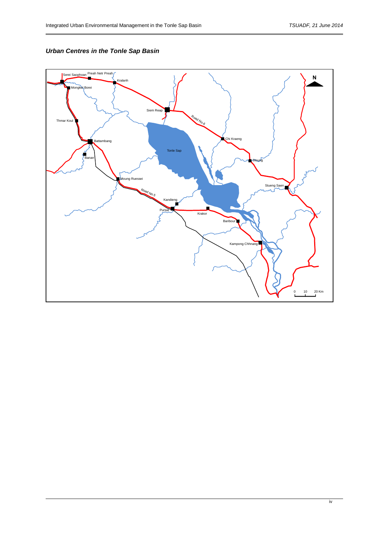## *Urban Centres in the Tonle Sap Basin*

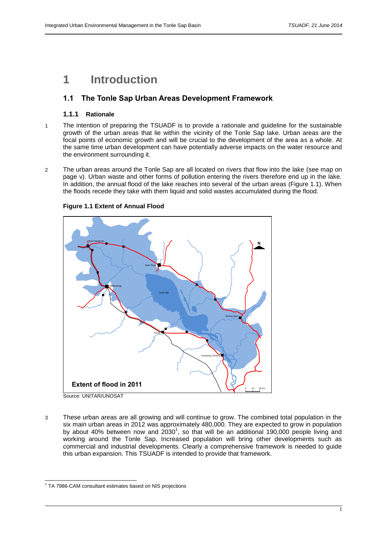## **1 Introduction**

## **1.1 The Tonle Sap Urban Areas Development Framework**

### **1.1.1 Rationale**

- 1 The intention of preparing the TSUADF is to provide a rationale and guideline for the sustainable growth of the urban areas that lie within the vicinity of the Tonle Sap lake. Urban areas are the focal points of economic growth and will be crucial to the development of the area as a whole. At the same time urban development can have potentially adverse impacts on the water resource and the environment surrounding it.
- 2 The urban areas around the Tonle Sap are all located on rivers that flow into the lake (see map on page v). Urban waste and other forms of pollution entering the rivers therefore end up in the lake. In addition, the annual flood of the lake reaches into several of the urban areas (Figure 1.1). When the floods recede they take with them liquid and solid wastes accumulated during the flood.



#### **Figure 1.1 Extent of Annual Flood**

3 These urban areas are all growing and will continue to grow. The combined total population in the six main urban areas in 2012 was approximately 480,000. They are expected to grow in population by about 40% between now and  $2030^1$ , so that will be an additional 190,000 people living and working around the Tonle Sap. Increased population will bring other developments such as commercial and industrial developments. Clearly a comprehensive framework is needed to guide this urban expansion. This TSUADF is intended to provide that framework.

l

<sup>&</sup>lt;sup>1</sup> TA 7986-CAM consultant estimates based on NIS projections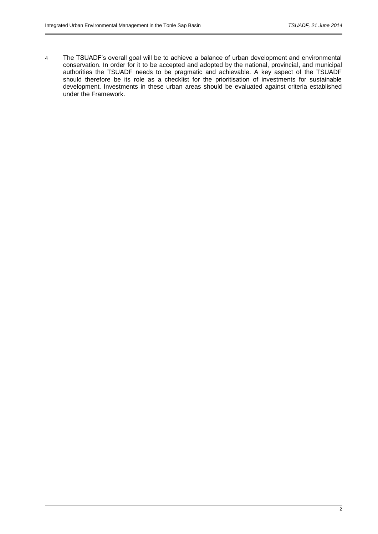4 The TSUADF's overall goal will be to achieve a balance of urban development and environmental conservation. In order for it to be accepted and adopted by the national, provincial, and municipal authorities the TSUADF needs to be pragmatic and achievable. A key aspect of the TSUADF should therefore be its role as a checklist for the prioritisation of investments for sustainable development. Investments in these urban areas should be evaluated against criteria established under the Framework.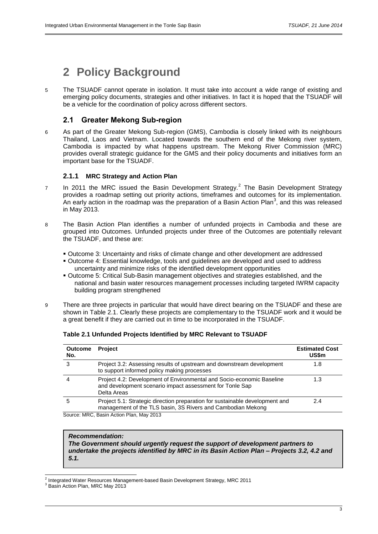## **2 Policy Background**

5 The TSUADF cannot operate in isolation. It must take into account a wide range of existing and emerging policy documents, strategies and other initiatives. In fact it is hoped that the TSUADF will be a vehicle for the coordination of policy across different sectors.

## **2.1 Greater Mekong Sub-region**

6 As part of the Greater Mekong Sub-region (GMS), Cambodia is closely linked with its neighbours Thailand, Laos and Vietnam. Located towards the southern end of the Mekong river system, Cambodia is impacted by what happens upstream. The Mekong River Commission (MRC) provides overall strategic guidance for the GMS and their policy documents and initiatives form an important base for the TSUADF.

### **2.1.1 MRC Strategy and Action Plan**

- 7 In 2011 the MRC issued the Basin Development Strategy.<sup>2</sup> The Basin Development Strategy provides a roadmap setting out priority actions, timeframes and outcomes for its implementation. An early action in the roadmap was the preparation of a Basin Action Plan<sup>3</sup>, and this was released in May 2013.
- 8 The Basin Action Plan identifies a number of unfunded projects in Cambodia and these are grouped into Outcomes. Unfunded projects under three of the Outcomes are potentially relevant the TSUADF, and these are:
	- Outcome 3: Uncertainty and risks of climate change and other development are addressed
	- Outcome 4: Essential knowledge, tools and guidelines are developed and used to address uncertainty and minimize risks of the identified development opportunities
	- Outcome 5: Critical Sub-Basin management objectives and strategies established, and the national and basin water resources management processes including targeted IWRM capacity building program strengthened
- 9 There are three projects in particular that would have direct bearing on the TSUADF and these are shown in Table 2.1. Clearly these projects are complementary to the TSUADF work and it would be a great benefit if they are carried out in time to be incorporated in the TSUADF.

| <b>Outcome</b><br>No.  | <b>Project</b>                                                                                                                                   | <b>Estimated Cost</b><br>US\$m |
|------------------------|--------------------------------------------------------------------------------------------------------------------------------------------------|--------------------------------|
|                        | Project 3.2: Assessing results of upstream and downstream development<br>to support informed policy making processes                             | 1.8                            |
|                        | Project 4.2: Development of Environmental and Socio-economic Baseline<br>and development scenario impact assessment for Tonle Sap<br>Delta Areas | 1.3                            |
| ۰h                     | Project 5.1: Strategic direction preparation for sustainable development and<br>management of the TLS basin, 3S Rivers and Cambodian Mekong      | 2.4                            |
| S <sub>OMICA</sub> MPC | Roein Action Plan, May 2013                                                                                                                      |                                |

#### **Table 2.1 Unfunded Projects Identified by MRC Relevant to TSUADF**

Source: MRC, Basin Action Plan, May 2013

#### *Recommendation:*

*The Government should urgently request the support of development partners to undertake the projects identified by MRC in its Basin Action Plan – Projects 3.2, 4.2 and 5.1.*

 2 Integrated Water Resources Management-based Basin Development Strategy, MRC 2011

 $3$  Basin Action Plan, MRC May 2013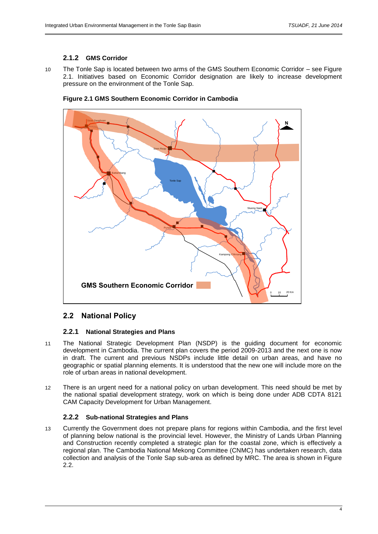## **2.1.2 GMS Corridor**

10 The Tonle Sap is located between two arms of the GMS Southern Economic Corridor – see Figure 2.1. Initiatives based on Economic Corridor designation are likely to increase development pressure on the environment of the Tonle Sap.





## **2.2 National Policy**

## **2.2.1 National Strategies and Plans**

- 11 The National Strategic Development Plan (NSDP) is the guiding document for economic development in Cambodia. The current plan covers the period 2009-2013 and the next one is now in draft. The current and previous NSDPs include little detail on urban areas, and have no geographic or spatial planning elements. It is understood that the new one will include more on the role of urban areas in national development.
- 12 There is an urgent need for a national policy on urban development. This need should be met by the national spatial development strategy, work on which is being done under ADB CDTA 8121 CAM Capacity Development for Urban Management.

#### **2.2.2 Sub-national Strategies and Plans**

13 Currently the Government does not prepare plans for regions within Cambodia, and the first level of planning below national is the provincial level. However, the Ministry of Lands Urban Planning and Construction recently completed a strategic plan for the coastal zone, which is effectively a regional plan. The Cambodia National Mekong Committee (CNMC) has undertaken research, data collection and analysis of the Tonle Sap sub-area as defined by MRC. The area is shown in Figure 2.2.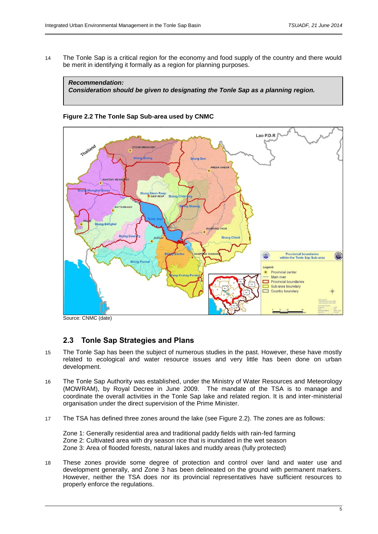14 The Tonle Sap is a critical region for the economy and food supply of the country and there would be merit in identifying it formally as a region for planning purposes.



### **Figure 2.2 The Tonle Sap Sub-area used by CNMC**



Source: CNMC (date)

## **2.3 Tonle Sap Strategies and Plans**

- 15 The Tonle Sap has been the subject of numerous studies in the past. However, these have mostly related to ecological and water resource issues and very little has been done on urban development.
- 16 The Tonle Sap Authority was established, under the Ministry of Water Resources and Meteorology (MOWRAM), by Royal Decree in June 2009. The mandate of the TSA is to manage and coordinate the overall activities in the Tonle Sap lake and related region. It is and inter-ministerial organisation under the direct supervision of the Prime Minister.
- 17 The TSA has defined three zones around the lake (see Figure 2.2). The zones are as follows:

Zone 1: Generally residential area and traditional paddy fields with rain-fed farming Zone 2: Cultivated area with dry season rice that is inundated in the wet season Zone 3: Area of flooded forests, natural lakes and muddy areas (fully protected)

18 These zones provide some degree of protection and control over land and water use and development generally, and Zone 3 has been delineated on the ground with permanent markers. However, neither the TSA does nor its provincial representatives have sufficient resources to properly enforce the regulations.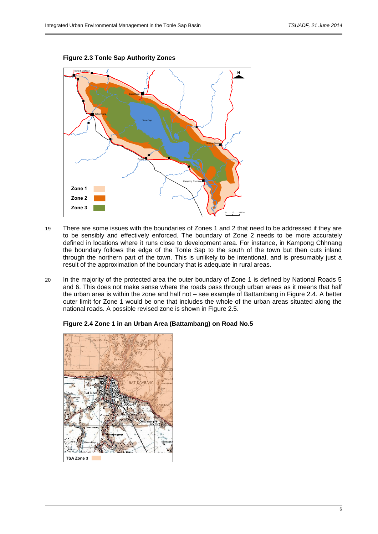



- 19 There are some issues with the boundaries of Zones 1 and 2 that need to be addressed if they are to be sensibly and effectively enforced. The boundary of Zone 2 needs to be more accurately defined in locations where it runs close to development area. For instance, in Kampong Chhnang the boundary follows the edge of the Tonle Sap to the south of the town but then cuts inland through the northern part of the town. This is unlikely to be intentional, and is presumably just a result of the approximation of the boundary that is adequate in rural areas.
- 20 In the majority of the protected area the outer boundary of Zone 1 is defined by National Roads 5 and 6. This does not make sense where the roads pass through urban areas as it means that half the urban area is within the zone and half not – see example of Battambang in Figure 2.4. A better outer limit for Zone 1 would be one that includes the whole of the urban areas situated along the national roads. A possible revised zone is shown in Figure 2.5.



#### **Figure 2.4 Zone 1 in an Urban Area (Battambang) on Road No.5**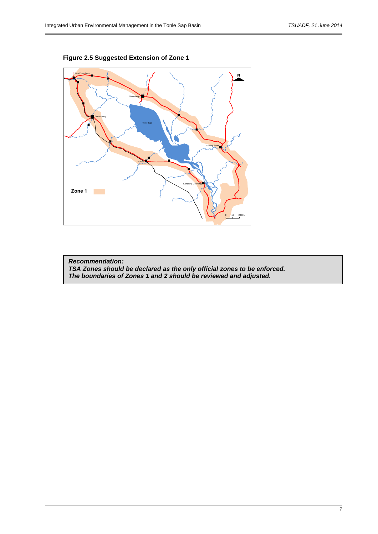

**Figure 2.5 Suggested Extension of Zone 1**

*Recommendation: TSA Zones should be declared as the only official zones to be enforced. The boundaries of Zones 1 and 2 should be reviewed and adjusted.*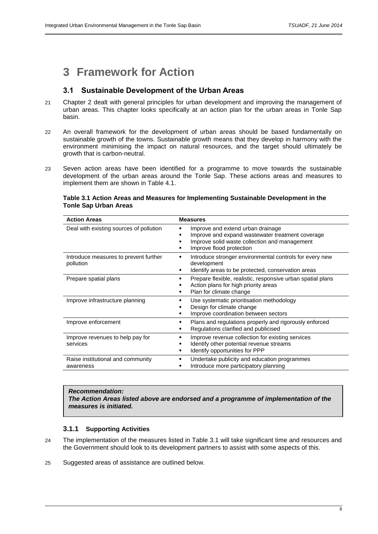## **3 Framework for Action**

## **3.1 Sustainable Development of the Urban Areas**

- 21 Chapter 2 dealt with general principles for urban development and improving the management of urban areas. This chapter looks specifically at an action plan for the urban areas in Tonle Sap basin.
- 22 An overall framework for the development of urban areas should be based fundamentally on sustainable growth of the towns. Sustainable growth means that they develop in harmony with the environment minimising the impact on natural resources, and the target should ultimately be growth that is carbon-neutral.
- 23 Seven action areas have been identified for a programme to move towards the sustainable development of the urban areas around the Tonle Sap. These actions areas and measures to implement them are shown in Table 4.1.

### **Table 3.1 Action Areas and Measures for Implementing Sustainable Development in the Tonle Sap Urban Areas**

| <b>Action Areas</b>                                | <b>Measures</b>                                                                                                                                                    |  |  |  |
|----------------------------------------------------|--------------------------------------------------------------------------------------------------------------------------------------------------------------------|--|--|--|
| Deal with existing sources of pollution            | Improve and extend urban drainage<br>Improve and expand wastewater treatment coverage<br>Improve solid waste collection and management<br>Improve flood protection |  |  |  |
| Introduce measures to prevent further<br>pollution | Introduce stronger environmental controls for every new<br>development<br>Identify areas to be protected, conservation areas                                       |  |  |  |
| Prepare spatial plans                              | Prepare flexible, realistic, responsive urban spatial plans<br>Action plans for high priority areas<br>Plan for climate change                                     |  |  |  |
| Improve infrastructure planning                    | Use systematic prioritisation methodology<br>Design for climate change<br>Improve coordination between sectors                                                     |  |  |  |
| Improve enforcement                                | Plans and regulations properly and rigorously enforced<br>Regulations clarified and publicised                                                                     |  |  |  |
| Improve revenues to help pay for<br>services       | Improve revenue collection for existing services<br>Identify other potential revenue streams<br>Identify opportunities for PPP                                     |  |  |  |
| Raise institutional and community<br>awareness     | Undertake publicity and education programmes<br>Introduce more participatory planning                                                                              |  |  |  |

#### *Recommendation:*

*The Action Areas listed above are endorsed and a programme of implementation of the measures is initiated.*

## **3.1.1 Supporting Activities**

- 24 The implementation of the measures listed in Table 3.1 will take significant time and resources and the Government should look to its development partners to assist with some aspects of this.
- 25 Suggested areas of assistance are outlined below.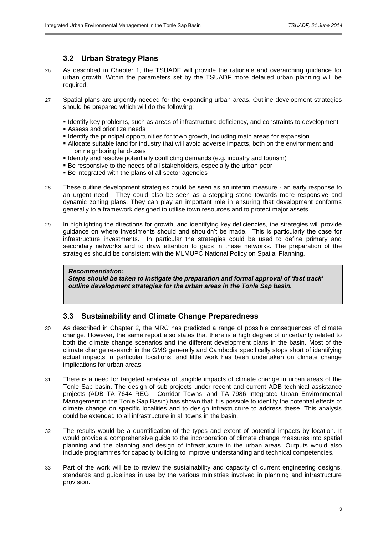## **3.2 Urban Strategy Plans**

- 26 As described in Chapter 1, the TSUADF will provide the rationale and overarching guidance for urban growth. Within the parameters set by the TSUADF more detailed urban planning will be required.
- 27 Spatial plans are urgently needed for the expanding urban areas. Outline development strategies should be prepared which will do the following:
	- Identify key problems, such as areas of infrastructure deficiency, and constraints to development
	- Assess and prioritize needs
	- **IDENTIFY IDENTIFY the principal opportunities for town growth, including main areas for expansion**
	- Allocate suitable land for industry that will avoid adverse impacts, both on the environment and on neighboring land-uses
	- Identify and resolve potentially conflicting demands (e.g. industry and tourism)
	- Be responsive to the needs of all stakeholders, especially the urban poor
	- Be integrated with the plans of all sector agencies
- 28 These outline development strategies could be seen as an interim measure an early response to an urgent need. They could also be seen as a stepping stone towards more responsive and dynamic zoning plans. They can play an important role in ensuring that development conforms generally to a framework designed to utilise town resources and to protect major assets.
- 29 In highlighting the directions for growth, and identifying key deficiencies, the strategies will provide guidance on where investments should and shouldn't be made. This is particularly the case for infrastructure investments. In particular the strategies could be used to define primary and secondary networks and to draw attention to gaps in these networks. The preparation of the strategies should be consistent with the MLMUPC National Policy on Spatial Planning.

#### *Recommendation:*

*Steps should be taken to instigate the preparation and formal approval of 'fast track' outline development strategies for the urban areas in the Tonle Sap basin.*

## **3.3 Sustainability and Climate Change Preparedness**

- 30 As described in Chapter 2, the MRC has predicted a range of possible consequences of climate change. However, the same report also states that there is a high degree of uncertainty related to both the climate change scenarios and the different development plans in the basin. Most of the climate change research in the GMS generally and Cambodia specifically stops short of identifying actual impacts in particular locations, and little work has been undertaken on climate change implications for urban areas.
- 31 There is a need for targeted analysis of tangible impacts of climate change in urban areas of the Tonle Sap basin. The design of sub-projects under recent and current ADB technical assistance projects (ADB TA 7644 REG - Corridor Towns, and TA 7986 Integrated Urban Environmental Management in the Tonle Sap Basin) has shown that it is possible to identify the potential effects of climate change on specific localities and to design infrastructure to address these. This analysis could be extended to all infrastructure in all towns in the basin.
- 32 The results would be a quantification of the types and extent of potential impacts by location. It would provide a comprehensive guide to the incorporation of climate change measures into spatial planning and the planning and design of infrastructure in the urban areas. Outputs would also include programmes for capacity building to improve understanding and technical competencies.
- 33 Part of the work will be to review the sustainability and capacity of current engineering designs, standards and guidelines in use by the various ministries involved in planning and infrastructure provision.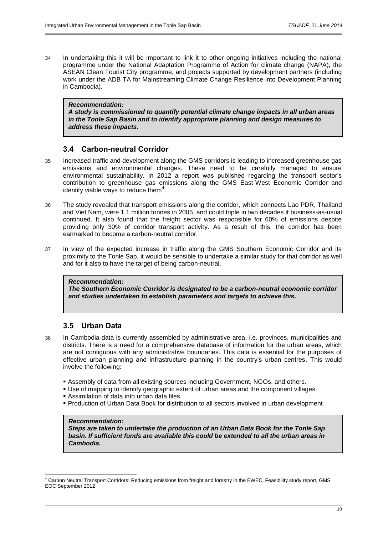34 In undertaking this it will be important to link it to other ongoing initiatives including the national programme under the National Adaptation Programme of Action for climate change (NAPA), the ASEAN Clean Tourist City programme, and projects supported by development partners (including work under the ADB TA for Mainstreaming Climate Change Resilience into Development Planning in Cambodia).

#### *Recommendation:*

*A study is commissioned to quantify potential climate change impacts in all urban areas in the Tonle Sap Basin and to identify appropriate planning and design measures to address these impacts.*

## **3.4 Carbon-neutral Corridor**

- 35 Increased traffic and development along the GMS corridors is leading to increased greenhouse gas emissions and environmental changes. These need to be carefully managed to ensure environmental sustainability. In 2012 a report was published regarding the transport sector's contribution to greenhouse gas emissions along the GMS East-West Economic Corridor and identify viable ways to reduce them $4$ .
- 36 The study revealed that transport emissions along the corridor, which connects Lao PDR, Thailand and Viet Nam, were 1.1 million tonnes in 2005, and could triple in two decades if business-as-usual continued. It also found that the freight sector was responsible for 60% of emissions despite providing only 30% of corridor transport activity. As a result of this, the corridor has been earmarked to become a carbon-neutral corridor.
- 37 In view of the expected increase in traffic along the GMS Southern Economic Corridor and its proximity to the Tonle Sap, it would be sensible to undertake a similar study for that corridor as well and for it also to have the target of being carbon-neutral.

### *Recommendation:*

*The Southern Economic Corridor is designated to be a carbon-neutral economic corridor and studies undertaken to establish parameters and targets to achieve this.*

## **3.5 Urban Data**

- 38 In Cambodia data is currently assembled by administrative area, i.e. provinces, municipalities and districts. There is a need for a comprehensive database of information for the urban areas, which are not contiguous with any administrative boundaries. This data is essential for the purposes of effective urban planning and infrastructure planning in the country's urban centres. This would involve the following:
	- Assembly of data from all existing sources including Government, NGOs, and others.
	- Use of mapping to identify geographic extent of urban areas and the component villages.
	- Assimilation of data into urban data files
	- Production of Urban Data Book for distribution to all sectors involved in urban development

#### *Recommendation:*

l

*Steps are taken to undertake the production of an Urban Data Book for the Tonle Sap basin. If sufficient funds are available this could be extended to all the urban areas in Cambodia.*

 $^4$  Carbon Neutral Transport Corridors: Reducing emissions from freight and forestry in the EWEC, Feasibility study report, GMS EOC September 2012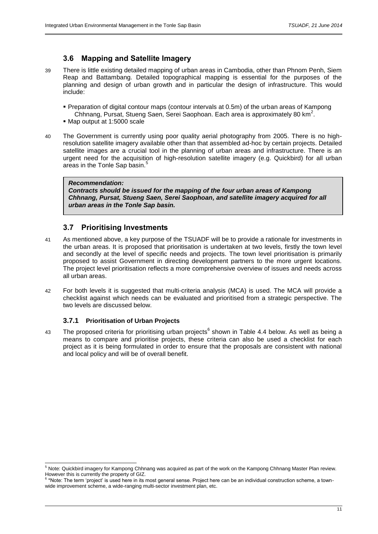## **3.6 Mapping and Satellite Imagery**

- 39 There is little existing detailed mapping of urban areas in Cambodia, other than Phnom Penh, Siem Reap and Battambang. Detailed topographical mapping is essential for the purposes of the planning and design of urban growth and in particular the design of infrastructure. This would include:
	- Preparation of digital contour maps (contour intervals at 0.5m) of the urban areas of Kampong Chhnang, Pursat, Stueng Saen, Serei Saophoan. Each area is approximately 80 km<sup>2</sup>.
	- Map output at 1:5000 scale
- 40 The Government is currently using poor quality aerial photography from 2005. There is no highresolution satellite imagery available other than that assembled ad-hoc by certain projects. Detailed satellite images are a crucial tool in the planning of urban areas and infrastructure. There is an urgent need for the acquisition of high-resolution satellite imagery (e.g. Quickbird) for all urban areas in the Tonle Sap basin.<sup>5</sup>

#### *Recommendation:*

*Contracts should be issued for the mapping of the four urban areas of Kampong Chhnang, Pursat, Stueng Saen, Serei Saophoan, and satellite imagery acquired for all urban areas in the Tonle Sap basin.*

## **3.7 Prioritising Investments**

- 41 As mentioned above, a key purpose of the TSUADF will be to provide a rationale for investments in the urban areas. It is proposed that prioritisation is undertaken at two levels, firstly the town level and secondly at the level of specific needs and projects. The town level prioritisation is primarily proposed to assist Government in directing development partners to the more urgent locations. The project level prioritisation reflects a more comprehensive overview of issues and needs across all urban areas.
- 42 For both levels it is suggested that multi-criteria analysis (MCA) is used. The MCA will provide a checklist against which needs can be evaluated and prioritised from a strategic perspective. The two levels are discussed below.

## **3.7.1 Prioritisation of Urban Projects**

l

43 The proposed criteria for prioritising urban projects<sup>6</sup> shown in Table 4.4 below. As well as being a means to compare and prioritise projects, these criteria can also be used a checklist for each project as it is being formulated in order to ensure that the proposals are consistent with national and local policy and will be of overall benefit.

 $^5$  Note: Quickbird imagery for Kampong Chhnang was acquired as part of the work on the Kampong Chhnang Master Plan review. However this is currently the property of GIZ.<br><sup>6</sup> \*Note: The term 'project' is used here in its most general sense. Project here can be an individual construction scheme, a town-

wide improvement scheme, a wide-ranging multi-sector investment plan, etc.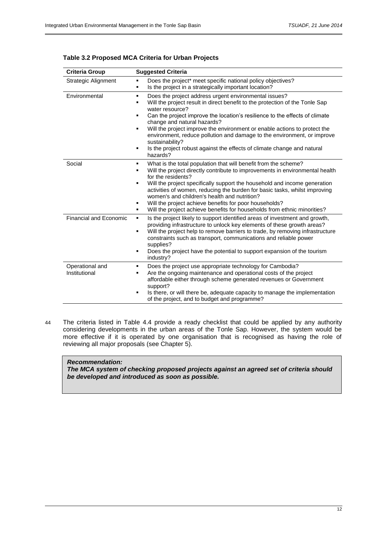| <b>Criteria Group</b>            | <b>Suggested Criteria</b>                                                                                                                                                                                                                                                                                                                                                                                                                                                                                                                                    |  |  |  |
|----------------------------------|--------------------------------------------------------------------------------------------------------------------------------------------------------------------------------------------------------------------------------------------------------------------------------------------------------------------------------------------------------------------------------------------------------------------------------------------------------------------------------------------------------------------------------------------------------------|--|--|--|
| Strategic Alignment              | Does the project* meet specific national policy objectives?<br>٠<br>Is the project in a strategically important location?<br>٠                                                                                                                                                                                                                                                                                                                                                                                                                               |  |  |  |
| Environmental                    | Does the project address urgent environmental issues?<br>٠<br>Will the project result in direct benefit to the protection of the Tonle Sap<br>٠<br>water resource?<br>Can the project improve the location's resilience to the effects of climate<br>٠<br>change and natural hazards?<br>Will the project improve the environment or enable actions to protect the<br>environment, reduce pollution and damage to the environment, or improve<br>sustainability?<br>Is the project robust against the effects of climate change and natural<br>٠<br>hazards? |  |  |  |
| Social                           | What is the total population that will benefit from the scheme?<br>٠<br>Will the project directly contribute to improvements in environmental health<br>٠<br>for the residents?<br>Will the project specifically support the household and income generation<br>٠<br>activities of women, reducing the burden for basic tasks, whilst improving<br>women's and children's health and nutrition?<br>Will the project achieve benefits for poor households?<br>٠<br>Will the project achieve benefits for households from ethnic minorities?<br>٠              |  |  |  |
| <b>Financial and Economic</b>    | Is the project likely to support identified areas of investment and growth,<br>٠.<br>providing infrastructure to unlock key elements of these growth areas?<br>Will the project help to remove barriers to trade, by removing infrastructure<br>٠<br>constraints such as transport, communications and reliable power<br>supplies?<br>Does the project have the potential to support expansion of the tourism<br>٠<br>industry?                                                                                                                              |  |  |  |
| Operational and<br>Institutional | Does the project use appropriate technology for Cambodia?<br>٠<br>Are the ongoing maintenance and operational costs of the project<br>٠<br>affordable either through scheme generated revenues or Government<br>support?<br>Is there, or will there be, adequate capacity to manage the implementation<br>٠<br>of the project, and to budget and programme?                                                                                                                                                                                                  |  |  |  |

### **Table 3.2 Proposed MCA Criteria for Urban Projects**

44 The criteria listed in Table 4.4 provide a ready checklist that could be applied by any authority considering developments in the urban areas of the Tonle Sap. However, the system would be more effective if it is operated by one organisation that is recognised as having the role of reviewing all major proposals (see Chapter 5).

#### *Recommendation:*

*The MCA system of checking proposed projects against an agreed set of criteria should be developed and introduced as soon as possible.*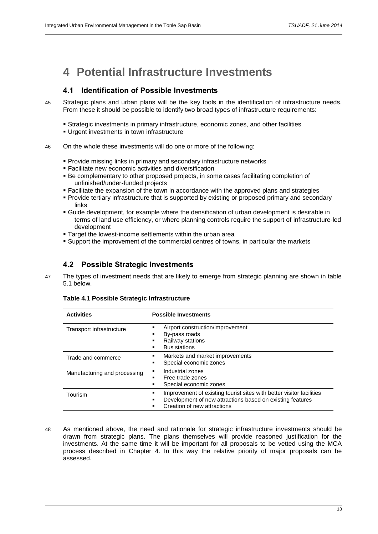## **4 Potential Infrastructure Investments**

## **4.1 Identification of Possible Investments**

- 45 Strategic plans and urban plans will be the key tools in the identification of infrastructure needs. From these it should be possible to identify two broad types of infrastructure requirements:
	- Strategic investments in primary infrastructure, economic zones, and other facilities
	- Urgent investments in town infrastructure
- 46 On the whole these investments will do one or more of the following:
	- **Provide missing links in primary and secondary infrastructure networks**
	- Facilitate new economic activities and diversification
	- Be complementary to other proposed projects, in some cases facilitating completion of unfinished/under-funded projects
	- Facilitate the expansion of the town in accordance with the approved plans and strategies
	- **Provide tertiary infrastructure that is supported by existing or proposed primary and secondary** links
	- Guide development, for example where the densification of urban development is desirable in terms of land use efficiency, or where planning controls require the support of infrastructure-led development
	- Target the lowest-income settlements within the urban area
	- Support the improvement of the commercial centres of towns, in particular the markets

## **4.2 Possible Strategic Investments**

47 The types of investment needs that are likely to emerge from strategic planning are shown in table 5.1 below.

| <b>Activities</b>            | <b>Possible Investments</b>                                                                                                                                           |  |  |  |
|------------------------------|-----------------------------------------------------------------------------------------------------------------------------------------------------------------------|--|--|--|
| Transport infrastructure     | Airport construction/improvement<br>By-pass roads<br>Railway stations<br><b>Bus stations</b>                                                                          |  |  |  |
| Trade and commerce           | Markets and market improvements<br>Special economic zones                                                                                                             |  |  |  |
| Manufacturing and processing | Industrial zones<br>٠<br>Free trade zones<br>Special economic zones                                                                                                   |  |  |  |
| Tourism                      | Improvement of existing tourist sites with better visitor facilities<br>Development of new attractions based on existing features<br>Creation of new attractions<br>٠ |  |  |  |

#### **Table 4.1 Possible Strategic Infrastructure**

48 As mentioned above, the need and rationale for strategic infrastructure investments should be drawn from strategic plans. The plans themselves will provide reasoned justification for the investments. At the same time it will be important for all proposals to be vetted using the MCA process described in Chapter 4. In this way the relative priority of major proposals can be assessed.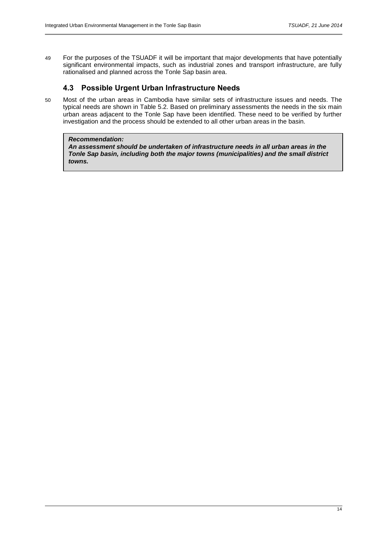49 For the purposes of the TSUADF it will be important that major developments that have potentially significant environmental impacts, such as industrial zones and transport infrastructure, are fully rationalised and planned across the Tonle Sap basin area.

## **4.3 Possible Urgent Urban Infrastructure Needs**

50 Most of the urban areas in Cambodia have similar sets of infrastructure issues and needs. The typical needs are shown in Table 5.2. Based on preliminary assessments the needs in the six main urban areas adjacent to the Tonle Sap have been identified. These need to be verified by further investigation and the process should be extended to all other urban areas in the basin.

#### *Recommendation:*

*An assessment should be undertaken of infrastructure needs in all urban areas in the Tonle Sap basin, including both the major towns (municipalities) and the small district towns.*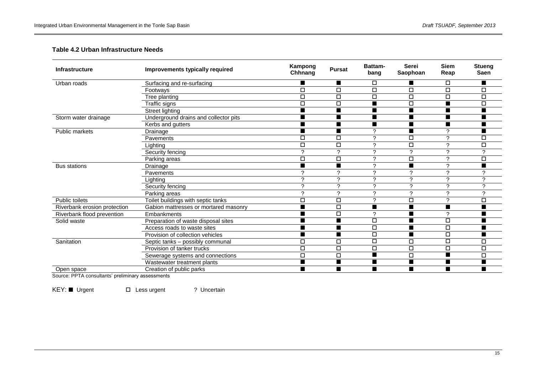## **Table 4.2 Urban Infrastructure Needs**

| <b>Infrastructure</b>        | Improvements typically required       | Kampong<br>Chhnang | <b>Pursat</b> | Battam-<br>bang | <b>Serei</b><br>Saophoan | <b>Siem</b><br>Reap | Stueng<br><b>Saen</b> |
|------------------------------|---------------------------------------|--------------------|---------------|-----------------|--------------------------|---------------------|-----------------------|
| Urban roads                  | Surfacing and re-surfacing            |                    | ■             | □               | $\blacksquare$           | □                   |                       |
|                              | Footways                              | $\Box$             | Д             | $\Box$          | $\Box$                   | $\Box$              | $\Box$                |
|                              | Tree planting                         | $\Box$             | $\Box$        | $\Box$          | $\Box$                   | $\Box$              | $\Box$                |
|                              | Traffic signs                         | $\Box$             | $\Box$        |                 | $\Box$                   |                     | $\Box$                |
|                              | Street lighting                       | ■                  | ■             | ■               | $\blacksquare$           | ■                   |                       |
| Storm water drainage         | Underground drains and collector pits |                    |               |                 | П                        |                     |                       |
|                              | Kerbs and gutters                     | ■                  | ■             | ■               | $\blacksquare$           | ■                   |                       |
| Public markets               | Drainage                              |                    |               | o               | п                        | ◠                   |                       |
|                              | Pavements                             | □                  | $\Box$        | C               | $\Box$                   | ◠                   | □                     |
|                              | Lighting                              | $\Box$             | $\Box$        | $\mathcal{P}$   | $\Box$                   | C                   | $\Box$                |
|                              | Security fencing                      | $\mathcal{P}$      | ?             | ?               | 2                        | $\mathcal{P}$       | $\mathcal{P}$         |
|                              | Parking areas                         | $\Box$             | $\Box$        | $\mathcal{P}$   | $\Box$                   | $\mathcal{P}$       | $\Box$                |
| <b>Bus stations</b>          | Drainage                              |                    |               | $\mathcal{P}$   |                          | $\mathcal{L}$       |                       |
|                              | Pavements                             | C                  | ↷             | $\mathcal{P}$   | C                        | ◠                   | ົ                     |
|                              | Lighting                              | C                  | ◠             | $\mathcal{P}$   | C                        | $\Omega$            | C                     |
|                              | Security fencing                      | C                  | $\mathcal{P}$ | $\mathcal{P}$   | $\mathcal{P}$            | $\mathcal{L}$       | C                     |
|                              | Parking areas                         | C                  | C             | $\mathcal{D}$   | C                        | ◠                   | C                     |
| <b>Public toilets</b>        | Toilet buildings with septic tanks    | $\Box$             | $\Box$        | $\mathcal{P}$   | $\Box$                   | $\mathcal{P}$       | $\Box$                |
| Riverbank erosion protection | Gabion mattresses or mortared masonry | ■                  | $\Box$        |                 | $\blacksquare$           |                     |                       |
| Riverbank flood prevention   | Embankments                           |                    | $\Box$        | $\mathcal{P}$   |                          | $\mathcal{P}$       |                       |
| Solid waste                  | Preparation of waste disposal sites   | ■                  | ▅             | $\Box$          | $\blacksquare$           | $\Box$              |                       |
|                              | Access roads to waste sites           |                    |               | $\Box$          |                          | $\Box$              |                       |
|                              | Provision of collection vehicles      | ■                  | ■             | $\Box$          | $\blacksquare$           | $\Box$              |                       |
| Sanitation                   | Septic tanks - possibly communal      | $\Box$             | $\Box$        | $\Box$          | $\Box$                   | $\Box$              | $\Box$                |
|                              | Provision of tanker trucks            | $\Box$             | $\Box$        | $\Box$          | $\Box$                   | $\Box$              | $\Box$                |
|                              | Sewerage systems and connections      | $\Box$             | $\Box$        | ■               | $\Box$                   | $\blacksquare$      | $\Box$                |
|                              | Wastewater treatment plants           | $\blacksquare$     |               |                 | $\blacksquare$           |                     |                       |
| Open space                   | Creation of public parks              | ■                  | ■             | ■               | $\blacksquare$           | ■                   | ■                     |

Source: PPTA consultants' preliminary assessments

KEY: Urgent  $\square$  Less urgent ? Uncertain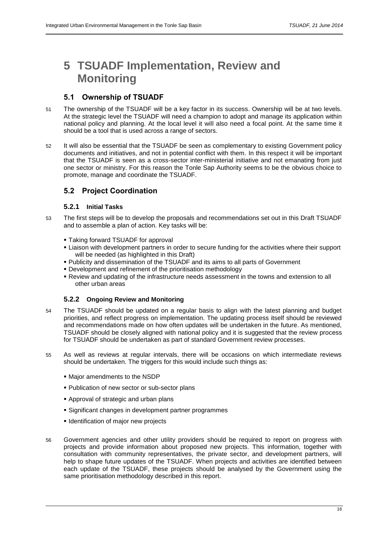## **5 TSUADF Implementation, Review and Monitoring**

## **5.1 Ownership of TSUADF**

- 51 The ownership of the TSUADF will be a key factor in its success. Ownership will be at two levels. At the strategic level the TSUADF will need a champion to adopt and manage its application within national policy and planning. At the local level it will also need a focal point. At the same time it should be a tool that is used across a range of sectors.
- 52 It will also be essential that the TSUADF be seen as complementary to existing Government policy documents and initiatives, and not in potential conflict with them. In this respect it will be important that the TSUADF is seen as a cross-sector inter-ministerial initiative and not emanating from just one sector or ministry. For this reason the Tonle Sap Authority seems to be the obvious choice to promote, manage and coordinate the TSUADF.

## **5.2 Project Coordination**

## **5.2.1 Initial Tasks**

- 53 The first steps will be to develop the proposals and recommendations set out in this Draft TSUADF and to assemble a plan of action. Key tasks will be:
	- Taking forward TSUADF for approval
	- Liaison with development partners in order to secure funding for the activities where their support will be needed (as highlighted in this Draft)
	- Publicity and dissemination of the TSUADF and its aims to all parts of Government
	- Development and refinement of the prioritisation methodology
	- Review and updating of the infrastructure needs assessment in the towns and extension to all other urban areas

## **5.2.2 Ongoing Review and Monitoring**

- 54 The TSUADF should be updated on a regular basis to align with the latest planning and budget priorities, and reflect progress on implementation. The updating process itself should be reviewed and recommendations made on how often updates will be undertaken in the future. As mentioned, TSUADF should be closely aligned with national policy and it is suggested that the review process for TSUADF should be undertaken as part of standard Government review processes.
- 55 As well as reviews at regular intervals, there will be occasions on which intermediate reviews should be undertaken. The triggers for this would include such things as:
	- Major amendments to the NSDP
	- **Publication of new sector or sub-sector plans**
	- Approval of strategic and urban plans
	- Significant changes in development partner programmes
	- **IDENTIFICATE IDENTIFICATE:** Identification of major new projects
- 56 Government agencies and other utility providers should be required to report on progress with projects and provide information about proposed new projects. This information, together with consultation with community representatives, the private sector, and development partners, will help to shape future updates of the TSUADF. When projects and activities are identified between each update of the TSUADF, these projects should be analysed by the Government using the same prioritisation methodology described in this report.